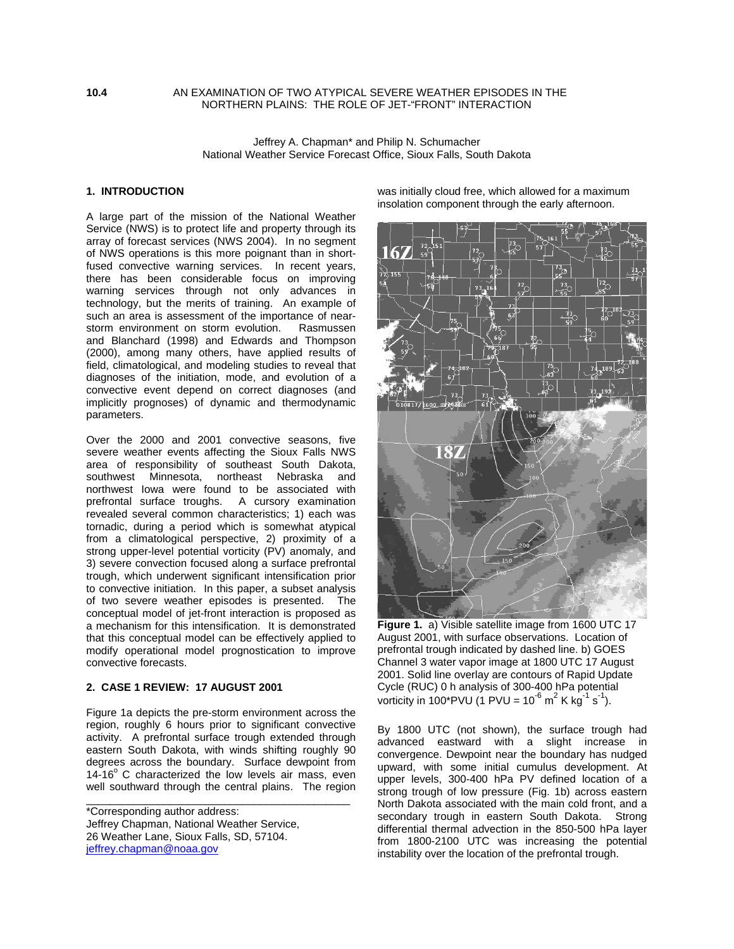#### **10.4** AN EXAMINATION OF TWO ATYPICAL SEVERE WEATHER EPISODES IN THE NORTHERN PLAINS: THE ROLE OF JET-"FRONT" INTERACTION

Jeffrey A. Chapman\* and Philip N. Schumacher National Weather Service Forecast Office, Sioux Falls, South Dakota

## **1. INTRODUCTION**

A large part of the mission of the National Weather Service (NWS) is to protect life and property through its array of forecast services (NWS 2004). In no segment of NWS operations is this more poignant than in shortfused convective warning services. In recent years, there has been considerable focus on improving warning services through not only advances in technology, but the merits of training. An example of such an area is assessment of the importance of nearstorm environment on storm evolution. Rasmussen and Blanchard (1998) and Edwards and Thompson (2000), among many others, have applied results of field, climatological, and modeling studies to reveal that diagnoses of the initiation, mode, and evolution of a convective event depend on correct diagnoses (and implicitly prognoses) of dynamic and thermodynamic parameters.

Over the 2000 and 2001 convective seasons, five severe weather events affecting the Sioux Falls NWS area of responsibility of southeast South Dakota, southwest Minnesota, northeast Nebraska and northwest Iowa were found to be associated with prefrontal surface troughs. A cursory examination revealed several common characteristics; 1) each was tornadic, during a period which is somewhat atypical from a climatological perspective, 2) proximity of a strong upper-level potential vorticity (PV) anomaly, and 3) severe convection focused along a surface prefrontal trough, which underwent significant intensification prior to convective initiation. In this paper, a subset analysis of two severe weather episodes is presented. The conceptual model of jet-front interaction is proposed as a mechanism for this intensification. It is demonstrated that this conceptual model can be effectively applied to modify operational model prognostication to improve convective forecasts.

### **2. CASE 1 REVIEW: 17 AUGUST 2001**

Figure 1a depicts the pre-storm environment across the region, roughly 6 hours prior to significant convective activity. A prefrontal surface trough extended through eastern South Dakota, with winds shifting roughly 90 degrees across the boundary. Surface dewpoint from 14-16 $^{\circ}$  C characterized the low levels air mass, even well southward through the central plains. The region

\_\_\_\_\_\_\_\_\_\_\_\_\_\_\_\_\_\_\_\_\_\_\_\_\_\_\_\_\_\_\_\_\_\_\_\_\_\_\_\_\_\_\_\_

\*Corresponding author address: Jeffrey Chapman, National Weather Service, 26 Weather Lane, Sioux Falls, SD, 57104. jeffrey.chapman@noaa.gov

was initially cloud free, which allowed for a maximum insolation component through the early afternoon.



**Figure 1.** a) Visible satellite image from 1600 UTC 17 August 2001, with surface observations. Location of prefrontal trough indicated by dashed line. b) GOES Channel 3 water vapor image at 1800 UTC 17 August 2001. Solid line overlay are contours of Rapid Update Cycle (RUC) 0 h analysis of 300-400 hPa potential vorticity in 100\*PVU (1 PVU = 10<sup>-6</sup> m<sup>2</sup> K kg<sup>-1</sup> s<sup>-1</sup>).

By 1800 UTC (not shown), the surface trough had advanced eastward with a slight increase in convergence. Dewpoint near the boundary has nudged upward, with some initial cumulus development. At upper levels, 300-400 hPa PV defined location of a strong trough of low pressure (Fig. 1b) across eastern North Dakota associated with the main cold front, and a secondary trough in eastern South Dakota. Strong differential thermal advection in the 850-500 hPa layer from 1800-2100 UTC was increasing the potential instability over the location of the prefrontal trough.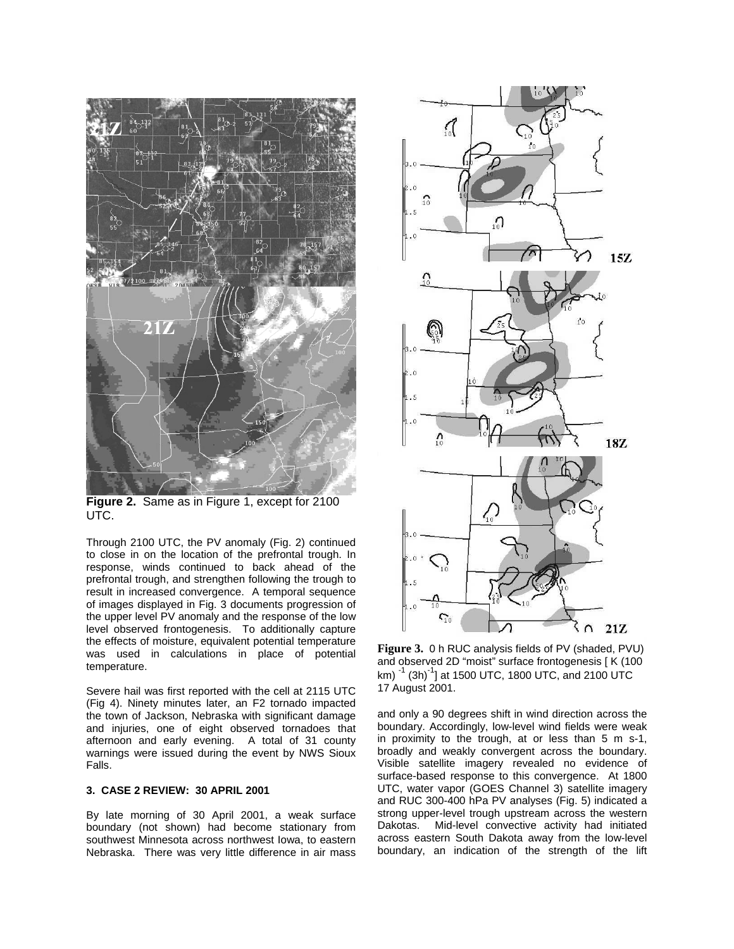

**Figure 2.** Same as in Figure 1, except for 2100 UTC.

Through 2100 UTC, the PV anomaly (Fig. 2) continued to close in on the location of the prefrontal trough. In response, winds continued to back ahead of the prefrontal trough, and strengthen following the trough to result in increased convergence. A temporal sequence of images displayed in Fig. 3 documents progression of the upper level PV anomaly and the response of the low level observed frontogenesis. To additionally capture the effects of moisture, equivalent potential temperature was used in calculations in place of potential temperature.

Severe hail was first reported with the cell at 2115 UTC (Fig 4). Ninety minutes later, an F2 tornado impacted the town of Jackson, Nebraska with significant damage and injuries, one of eight observed tornadoes that afternoon and early evening. A total of 31 county warnings were issued during the event by NWS Sioux Falls.

### **3. CASE 2 REVIEW: 30 APRIL 2001**

By late morning of 30 April 2001, a weak surface boundary (not shown) had become stationary from southwest Minnesota across northwest Iowa, to eastern Nebraska. There was very little difference in air mass



**Figure 3.** 0 h RUC analysis fields of PV (shaded, PVU) and observed 2D "moist" surface frontogenesis [ K (100 km)  $^{-1}$  (3h) $^{-1}$ ] at 1500 UTC, 1800 UTC, and 2100 UTC 17 August 2001.

and only a 90 degrees shift in wind direction across the boundary. Accordingly, low-level wind fields were weak in proximity to the trough, at or less than 5 m s-1, broadly and weakly convergent across the boundary. Visible satellite imagery revealed no evidence of surface-based response to this convergence. At 1800 UTC, water vapor (GOES Channel 3) satellite imagery and RUC 300-400 hPa PV analyses (Fig. 5) indicated a strong upper-level trough upstream across the western Dakotas. Mid-level convective activity had initiated across eastern South Dakota away from the low-level boundary, an indication of the strength of the lift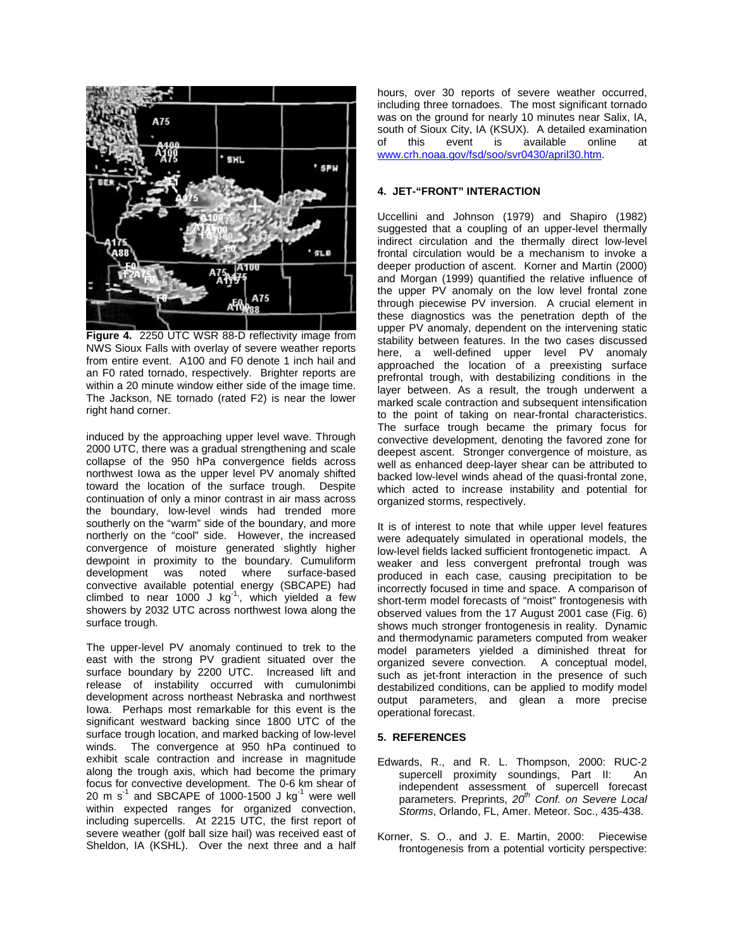

**Figure 4.** 2250 UTC WSR 88-D reflectivity image from NWS Sioux Falls with overlay of severe weather reports from entire event. A100 and F0 denote 1 inch hail and an F0 rated tornado, respectively. Brighter reports are within a 20 minute window either side of the image time. The Jackson, NE tornado (rated F2) is near the lower right hand corner.

induced by the approaching upper level wave. Through 2000 UTC, there was a gradual strengthening and scale collapse of the 950 hPa convergence fields across northwest Iowa as the upper level PV anomaly shifted toward the location of the surface trough. Despite continuation of only a minor contrast in air mass across the boundary, low-level winds had trended more southerly on the "warm" side of the boundary, and more northerly on the "cool" side. However, the increased convergence of moisture generated slightly higher dewpoint in proximity to the boundary. Cumuliform development was noted where surface-based convective available potential energy (SBCAPE) had climbed to near 1000 J  $kg^{-1}$ , which yielded a few showers by 2032 UTC across northwest Iowa along the surface trough.

The upper-level PV anomaly continued to trek to the east with the strong PV gradient situated over the surface boundary by 2200 UTC. Increased lift and release of instability occurred with cumulonimbi development across northeast Nebraska and northwest Iowa. Perhaps most remarkable for this event is the significant westward backing since 1800 UTC of the surface trough location, and marked backing of low-level winds. The convergence at 950 hPa continued to exhibit scale contraction and increase in magnitude along the trough axis, which had become the primary focus for convective development. The 0-6 km shear of 20 m  $s^{-1}$  and SBCAPE of 1000-1500 J kg<sup>-1</sup> were well within expected ranges for organized convection, including supercells. At 2215 UTC, the first report of severe weather (golf ball size hail) was received east of Sheldon, IA (KSHL). Over the next three and a half hours, over 30 reports of severe weather occurred, including three tornadoes. The most significant tornado was on the ground for nearly 10 minutes near Salix, IA, south of Sioux City, IA (KSUX). A detailed examination of this event is available online at www.crh.noaa.gov/fsd/soo/svr0430/april30.htm.

# **4. JET-"FRONT" INTERACTION**

Uccellini and Johnson (1979) and Shapiro (1982) suggested that a coupling of an upper-level thermally indirect circulation and the thermally direct low-level frontal circulation would be a mechanism to invoke a deeper production of ascent. Korner and Martin (2000) and Morgan (1999) quantified the relative influence of the upper PV anomaly on the low level frontal zone through piecewise PV inversion. A crucial element in these diagnostics was the penetration depth of the upper PV anomaly, dependent on the intervening static stability between features. In the two cases discussed here, a well-defined upper level PV anomaly approached the location of a preexisting surface prefrontal trough, with destabilizing conditions in the layer between. As a result, the trough underwent a marked scale contraction and subsequent intensification to the point of taking on near-frontal characteristics. The surface trough became the primary focus for convective development, denoting the favored zone for deepest ascent. Stronger convergence of moisture, as well as enhanced deep-layer shear can be attributed to backed low-level winds ahead of the quasi-frontal zone, which acted to increase instability and potential for organized storms, respectively.

It is of interest to note that while upper level features were adequately simulated in operational models, the low-level fields lacked sufficient frontogenetic impact. A weaker and less convergent prefrontal trough was produced in each case, causing precipitation to be incorrectly focused in time and space. A comparison of short-term model forecasts of "moist" frontogenesis with observed values from the 17 August 2001 case (Fig. 6) shows much stronger frontogenesis in reality. Dynamic and thermodynamic parameters computed from weaker model parameters yielded a diminished threat for organized severe convection. A conceptual model, such as jet-front interaction in the presence of such destabilized conditions, can be applied to modify model output parameters, and glean a more precise operational forecast.

#### **5. REFERENCES**

- Edwards, R., and R. L. Thompson, 2000: RUC-2 supercell proximity soundings, Part II: An independent assessment of supercell forecast parameters. Preprints,  $20<sup>th</sup>$  Conf. on Severe Local Storms, Orlando, FL, Amer. Meteor. Soc., 435-438.
- Korner, S. O., and J. E. Martin, 2000: Piecewise frontogenesis from a potential vorticity perspective: